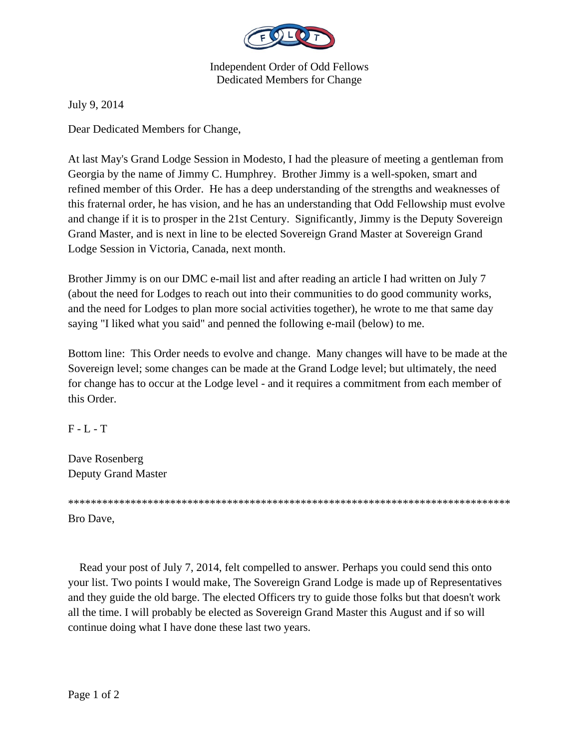

Independent Order of Odd Fellows Dedicated Members for Change

July 9, 2014

Dear Dedicated Members for Change,

At last May's Grand Lodge Session in Modesto, I had the pleasure of meeting a gentleman from Georgia by the name of Jimmy C. Humphrey. Brother Jimmy is a well-spoken, smart and refined member of this Order. He has a deep understanding of the strengths and weaknesses of this fraternal order, he has vision, and he has an understanding that Odd Fellowship must evolve and change if it is to prosper in the 21st Century. Significantly, Jimmy is the Deputy Sovereign Grand Master, and is next in line to be elected Sovereign Grand Master at Sovereign Grand Lodge Session in Victoria, Canada, next month.

Brother Jimmy is on our DMC e-mail list and after reading an article I had written on July 7 (about the need for Lodges to reach out into their communities to do good community works, and the need for Lodges to plan more social activities together), he wrote to me that same day saying "I liked what you said" and penned the following e-mail (below) to me.

Bottom line: This Order needs to evolve and change. Many changes will have to be made at the Sovereign level; some changes can be made at the Grand Lodge level; but ultimately, the need for change has to occur at the Lodge level - and it requires a commitment from each member of this Order.

 $F - L - T$ 

Dave Rosenberg Deputy Grand Master

\*\*\*\*\*\*\*\*\*\*\*\*\*\*\*\*\*\*\*\*\*\*\*\*\*\*\*\*\*\*\*\*\*\*\*\*\*\*\*\*\*\*\*\*\*\*\*\*\*\*\*\*\*\*\*\*\*\*\*\*\*\*\*\*\*\*\*\*\*\*\*\*\*\*\*\*\*\*

Bro Dave,

 Read your post of July 7, 2014, felt compelled to answer. Perhaps you could send this onto your list. Two points I would make, The Sovereign Grand Lodge is made up of Representatives and they guide the old barge. The elected Officers try to guide those folks but that doesn't work all the time. I will probably be elected as Sovereign Grand Master this August and if so will continue doing what I have done these last two years.